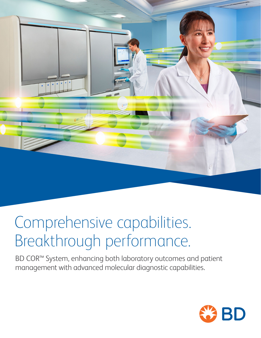

# Comprehensive capabilities. Breakthrough performance.

BD COR™ System, enhancing both laboratory outcomes and patient management with advanced molecular diagnostic capabilities.

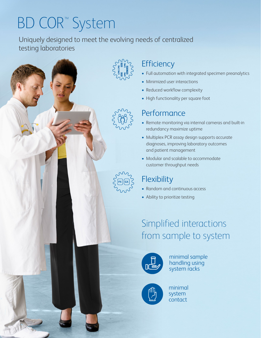# BD COR™ System

Uniquely designed to meet the evolving needs of centralized testing laboratories



### **Efficiency**

- Full automation with integrated specimen preanalytics
- Minimized user interactions
- Reduced workflow complexity
- High functionality per square foot

### **Performance**

- Remote monitoring via internal cameras and built-in redundancy maximize uptime
- Multiplex PCR assay design supports accurate diagnoses, improving laboratory outcomes and patient management
- Modular and scalable to accommodate customer throughput needs

### **Flexibility**

- Random and continuous access
- Ability to prioritize testing

### Simplified interactions from sample to system



minimal sample handling using system racks



minimal system contact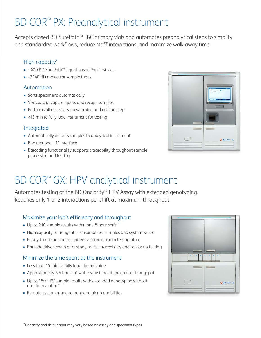## BD COR™ PX: Preanalytical instrument

Accepts closed BD SurePath™ LBC primary vials and automates preanalytical steps to simplify and standardize workflows, reduce staff interactions, and maximize walk-away time

#### High capacity\*

- ~480 BD SurePath™ Liquid-based Pap Test vials
- ~2140 BD molecular sample tubes

#### Automation

- Sorts specimens automatically
- Vortexes, uncaps, aliquots and recaps samples
- Performs all necessary prewarming and cooling steps
- <15 min to fully load instrument for testing

#### Integrated

- Automatically delivers samples to analytical instrument
- Bi-directional LIS interface
- Barcoding functionality supports traceability throughout sample processing and testing



## BD COR™ GX: HPV analytical instrument

Automates testing of the BD Onclarity™ HPV Assay with extended genotyping. Requires only 1 or 2 interactions per shift at maximum throughput

#### Maximize your lab's efficiency and throughput

- Up to 210 sample results within one 8-hour shift\*
- High capacity for reagents, consumables, samples and system waste
- Ready-to-use barcoded reagents stored at room temperature
- Barcode driven chain of custody for full traceability and follow-up testing

#### Minimize the time spent at the instrument

- Less than 15 min to fully load the machine
- Approximately 6.5 hours of walk-away time at maximum throughput
- Up to 180 HPV sample results with extended genotyping without user intervention\*
- Remote system management and alert capabilities